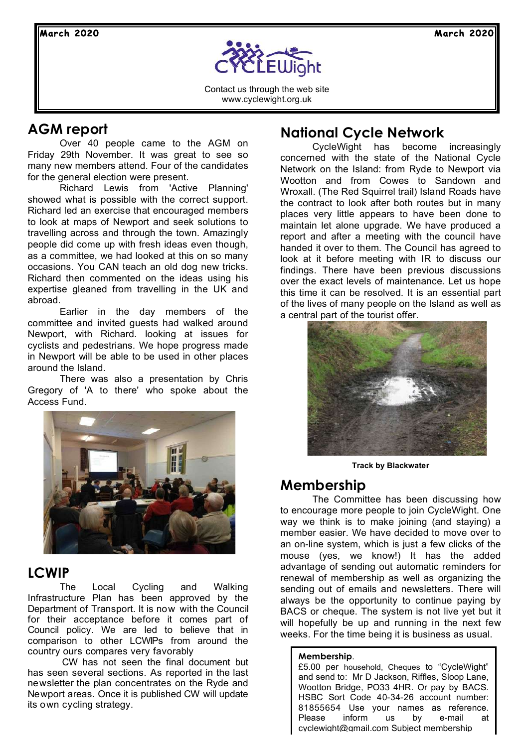

Contact us through the web site www.cyclewight.org.uk

## **AGM report**

Over 40 people came to the AGM on Friday 29th November. It was great to see so many new members attend. Four of the candidates for the general election were present.

Richard Lewis from 'Active Planning' showed what is possible with the correct support. Richard led an exercise that encouraged members to look at maps of Newport and seek solutions to travelling across and through the town. Amazingly people did come up with fresh ideas even though, as a committee, we had looked at this on so many occasions. You CAN teach an old dog new tricks. Richard then commented on the ideas using his expertise gleaned from travelling in the UK and abroad.

Earlier in the day members of the committee and invited guests had walked around Newport, with Richard. looking at issues for cyclists and pedestrians. We hope progress made in Newport will be able to be used in other places around the Island.

There was also a presentation by Chris Gregory of 'A to there' who spoke about the Access Fund.



## **LCWIP**

The Local Cycling and Walking Infrastructure Plan has been approved by the Department of Transport. It is now with the Council for their acceptance before it comes part of Council policy. We are led to believe that in comparison to other LCWIPs from around the country ours compares very favorably

 CW has not seen the final document but has seen several sections. As reported in the last newsletter the plan concentrates on the Ryde and Newport areas. Once it is published CW will update its own cycling strategy.

### **National Cycle Network**

CycleWight has become increasingly concerned with the state of the National Cycle Network on the Island: from Ryde to Newport via Wootton and from Cowes to Sandown and Wroxall. (The Red Squirrel trail) Island Roads have the contract to look after both routes but in many places very little appears to have been done to maintain let alone upgrade. We have produced a report and after a meeting with the council have handed it over to them. The Council has agreed to look at it before meeting with IR to discuss our findings. There have been previous discussions over the exact levels of maintenance. Let us hope this time it can be resolved. It is an essential part of the lives of many people on the Island as well as a central part of the tourist offer.



**Track by Blackwater**

#### **Membership**

The Committee has been discussing how to encourage more people to join CycleWight. One way we think is to make joining (and staying) a member easier. We have decided to move over to an on-line system, which is just a few clicks of the mouse (yes, we know!) It has the added advantage of sending out automatic reminders for renewal of membership as well as organizing the sending out of emails and newsletters. There will always be the opportunity to continue paying by BACS or cheque. The system is not live yet but it will hopefully be up and running in the next few weeks. For the time being it is business as usual.

#### **Membership**.

£5.00 per household, Cheques to "CycleWight" and send to: Mr D Jackson, Riffles, Sloop Lane, Wootton Bridge, PO33 4HR. Or pay by BACS. HSBC Sort Code 40-34-26 account number: 81855654 Use your names as reference. Please inform us by e-mail at cyclewight@gmail.com Subject membership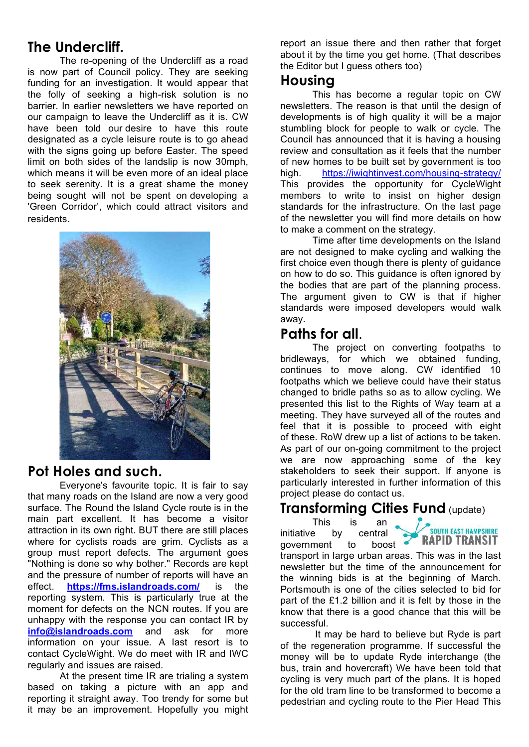## **The Undercliff.**

The re-opening of the Undercliff as a road is now part of Council policy. They are seeking funding for an investigation. It would appear that the folly of seeking a high-risk solution is no barrier. In earlier newsletters we have reported on our campaign to leave the Undercliff as it is. CW have been told our desire to have this route designated as a cycle leisure route is to go ahead with the signs going up before Easter. The speed limit on both sides of the landslip is now 30mph, which means it will be even more of an ideal place to seek serenity. It is a great shame the money being sought will not be spent on developing a 'Green Corridor', which could attract visitors and residents.



#### **Pot Holes and such.**

Everyone's favourite topic. It is fair to say that many roads on the Island are now a very good surface. The Round the Island Cycle route is in the main part excellent. It has become a visitor attraction in its own right. BUT there are still places where for cyclists roads are grim. Cyclists as a group must report defects. The argument goes "Nothing is done so why bother." Records are kept and the pressure of number of reports will have an effect. **https://fms.islandroads.com/** is the reporting system. This is particularly true at the moment for defects on the NCN routes. If you are unhappy with the response you can contact IR by **info@islandroads.com** and ask for more information on your issue. A last resort is to contact CycleWight. We do meet with IR and IWC regularly and issues are raised.

At the present time IR are trialing a system based on taking a picture with an app and reporting it straight away. Too trendy for some but it may be an improvement. Hopefully you might report an issue there and then rather that forget about it by the time you get home. (That describes the Editor but I guess others too)

#### **Housing**

This has become a regular topic on CW newsletters. The reason is that until the design of developments is of high quality it will be a major stumbling block for people to walk or cycle. The Council has announced that it is having a housing review and consultation as it feels that the number of new homes to be built set by government is too high. https://iwightinvest.com/housing-strategy/ This provides the opportunity for CycleWight members to write to insist on higher design standards for the infrastructure. On the last page of the newsletter you will find more details on how to make a comment on the strategy.

Time after time developments on the Island are not designed to make cycling and walking the first choice even though there is plenty of guidance on how to do so. This guidance is often ignored by the bodies that are part of the planning process. The argument given to CW is that if higher standards were imposed developers would walk away.

## **Paths for all**.

The project on converting footpaths to bridleways, for which we obtained funding, continues to move along. CW identified 10 footpaths which we believe could have their status changed to bridle paths so as to allow cycling. We presented this list to the Rights of Way team at a meeting. They have surveyed all of the routes and feel that it is possible to proceed with eight of these. RoW drew up a list of actions to be taken. As part of our on-going commitment to the project we are now approaching some of the key stakeholders to seek their support. If anyone is particularly interested in further information of this project please do contact us.

## **Transforming Cities Fund** (update)

This is an initiative by central<br>government to boost

SOUTH EAST HAMPSHIRE **RAPID TRANSIT** 

government to transport in large urban areas. This was in the last newsletter but the time of the announcement for the winning bids is at the beginning of March. Portsmouth is one of the cities selected to bid for part of the £1.2 billion and it is felt by those in the know that there is a good chance that this will be successful.

 It may be hard to believe but Ryde is part of the regeneration programme. If successful the money will be to update Ryde interchange (the bus, train and hovercraft) We have been told that cycling is very much part of the plans. It is hoped for the old tram line to be transformed to become a pedestrian and cycling route to the Pier Head This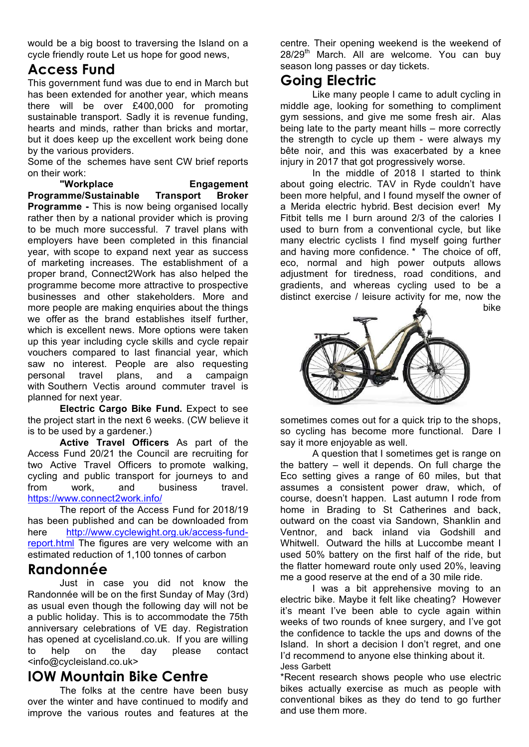would be a big boost to traversing the Island on a cycle friendly route Let us hope for good news,

## **Access Fund**

This government fund was due to end in March but has been extended for another year, which means there will be over £400,000 for promoting sustainable transport. Sadly it is revenue funding, hearts and minds, rather than bricks and mortar, but it does keep up the excellent work being done by the various providers.

Some of the schemes have sent CW brief reports on their work:

**"Workplace Engagement Programme/Sustainable Transport Broker Programme -** This is now being organised locally rather then by a national provider which is proving to be much more successful. 7 travel plans with employers have been completed in this financial year, with scope to expand next year as success of marketing increases. The establishment of a proper brand, Connect2Work has also helped the programme become more attractive to prospective businesses and other stakeholders. More and more people are making enquiries about the things we offer as the brand establishes itself further, which is excellent news. More options were taken up this year including cycle skills and cycle repair vouchers compared to last financial year, which saw no interest. People are also requesting personal travel plans, and a campaign with Southern Vectis around commuter travel is planned for next year.

**Electric Cargo Bike Fund.** Expect to see the project start in the next 6 weeks. (CW believe it is to be used by a gardener.)

**Active Travel Officers** As part of the Access Fund 20/21 the Council are recruiting for two Active Travel Officers to promote walking, cycling and public transport for journeys to and from work, and business travel. https://www.connect2work.info/

The report of the Access Fund for 2018/19 has been published and can be downloaded from here http://www.cyclewight.org.uk/access-fundreport.html The figures are very welcome with an estimated reduction of 1,100 tonnes of carbon

#### **Randonnée**

Just in case you did not know the Randonnée will be on the first Sunday of May (3rd) as usual even though the following day will not be a public holiday. This is to accommodate the 75th anniversary celebrations of VE day. Registration has opened at cycelisland.co.uk. If you are willing to help on the day please contact <info@cycleisland.co.uk>

## **IOW Mountain Bike Centre**

The folks at the centre have been busy over the winter and have continued to modify and improve the various routes and features at the

centre. Their opening weekend is the weekend of 28/29<sup>th</sup> March. All are welcome. You can buy season long passes or day tickets.

#### **Going Electric**

Like many people I came to adult cycling in middle age, looking for something to compliment gym sessions, and give me some fresh air. Alas being late to the party meant hills – more correctly the strength to cycle up them - were always my bête noir, and this was exacerbated by a knee injury in 2017 that got progressively worse.

In the middle of 2018 I started to think about going electric. TAV in Ryde couldn't have been more helpful, and I found myself the owner of a Merida electric hybrid. Best decision ever! My Fitbit tells me I burn around 2/3 of the calories I used to burn from a conventional cycle, but like many electric cyclists I find myself going further and having more confidence. \* The choice of off, eco, normal and high power outputs allows adjustment for tiredness, road conditions, and gradients, and whereas cycling used to be a distinct exercise / leisure activity for me, now the bike



sometimes comes out for a quick trip to the shops, so cycling has become more functional. Dare I say it more enjoyable as well.

A question that I sometimes get is range on the battery – well it depends. On full charge the Eco setting gives a range of 60 miles, but that assumes a consistent power draw, which, of course, doesn't happen. Last autumn I rode from home in Brading to St Catherines and back, outward on the coast via Sandown, Shanklin and Ventnor, and back inland via Godshill and Whitwell. Outward the hills at Luccombe meant I used 50% battery on the first half of the ride, but the flatter homeward route only used 20%, leaving me a good reserve at the end of a 30 mile ride.

I was a bit apprehensive moving to an electric bike. Maybe it felt like cheating? However it's meant I've been able to cycle again within weeks of two rounds of knee surgery, and I've got the confidence to tackle the ups and downs of the Island. In short a decision I don't regret, and one I'd recommend to anyone else thinking about it. Jess Garbett

\*Recent research shows people who use electric bikes actually exercise as much as people with conventional bikes as they do tend to go further and use them more.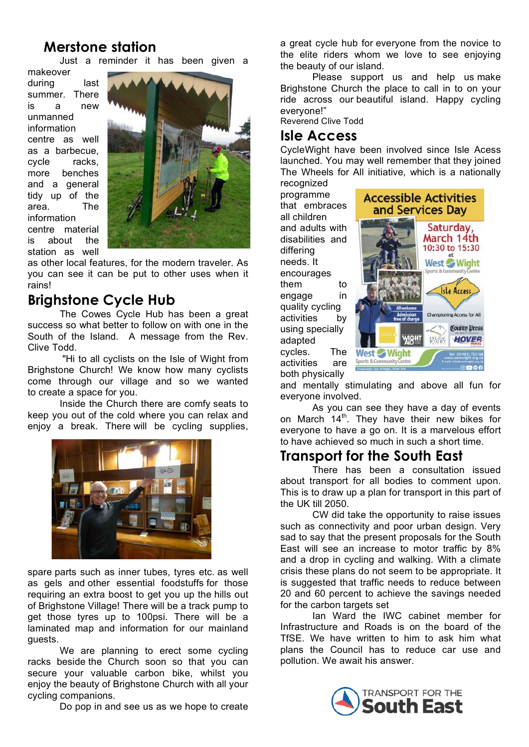### **Merstone station**

Just a reminder it has been given a

makeover during last summer. There is a new unmanned information centre as well as a barbecue, cycle racks, more benches and a general tidy up of the area. The information centre material is about the station as well



as other local features, for the modern traveler. As you can see it can be put to other uses when it rains!

#### **Brighstone Cycle Hub**

The Cowes Cycle Hub has been a great success so what better to follow on with one in the South of the Island. A message from the Rev. Clive Todd.

 "Hi to all cyclists on the Isle of Wight from Brighstone Church! We know how many cyclists come through our village and so we wanted to create a space for you.

Inside the Church there are comfy seats to keep you out of the cold where you can relax and enjoy a break. There will be cycling supplies,



spare parts such as inner tubes, tyres etc. as well as gels and other essential foodstuffs for those requiring an extra boost to get you up the hills out of Brighstone Village! There will be a track pump to get those tyres up to 100psi. There will be a laminated map and information for our mainland guests.

We are planning to erect some cycling racks beside the Church soon so that you can secure your valuable carbon bike, whilst you enjoy the beauty of Brighstone Church with all your cycling companions.

Do pop in and see us as we hope to create

a great cycle hub for everyone from the novice to the elite riders whom we love to see enjoying the beauty of our island.

Please support us and help us make Brighstone Church the place to call in to on your ride across our beautiful island. Happy cycling everyone!"

Reverend Clive Todd

#### **Isle Access**

CycleWight have been involved since Isle Acess launched. You may well remember that they joined The Wheels for All initiative, which is a nationally recognized

programme that embraces all children and adults with disabilities and differing needs. It encourages them to engage in quality cycling activities by using specially adapted cycles. The activities are both physically



and mentally stimulating and above all fun for everyone involved.

As you can see they have a day of events on March  $14<sup>th</sup>$ . They have their new bikes for everyone to have a go on. It is a marvelous effort to have achieved so much in such a short time.

#### **Transport for the South East**

There has been a consultation issued about transport for all bodies to comment upon. This is to draw up a plan for transport in this part of the UK till 2050.

CW did take the opportunity to raise issues such as connectivity and poor urban design. Very sad to say that the present proposals for the South East will see an increase to motor traffic by 8% and a drop in cycling and walking. With a climate crisis these plans do not seem to be appropriate. It is suggested that traffic needs to reduce between 20 and 60 percent to achieve the savings needed for the carbon targets set

Ian Ward the IWC cabinet member for Infrastructure and Roads is on the board of the TfSE. We have written to him to ask him what plans the Council has to reduce car use and pollution. We await his answer.